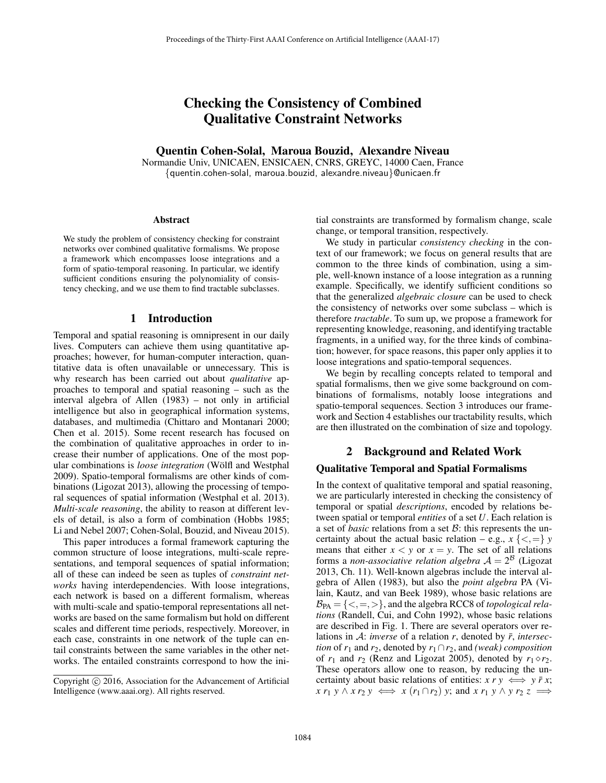# Checking the Consistency of Combined Qualitative Constraint Networks

## Quentin Cohen-Solal, Maroua Bouzid, Alexandre Niveau

Normandie Univ, UNICAEN, ENSICAEN, CNRS, GREYC, 14000 Caen, France {quentin.cohen-solal, maroua.bouzid, alexandre.niveau}@unicaen.fr

#### Abstract

We study the problem of consistency checking for constraint networks over combined qualitative formalisms. We propose a framework which encompasses loose integrations and a form of spatio-temporal reasoning. In particular, we identify sufficient conditions ensuring the polynomiality of consistency checking, and we use them to find tractable subclasses.

### 1 Introduction

Temporal and spatial reasoning is omnipresent in our daily lives. Computers can achieve them using quantitative approaches; however, for human-computer interaction, quantitative data is often unavailable or unnecessary. This is why research has been carried out about *qualitative* approaches to temporal and spatial reasoning – such as the interval algebra of Allen (1983) – not only in artificial intelligence but also in geographical information systems, databases, and multimedia (Chittaro and Montanari 2000; Chen et al. 2015). Some recent research has focused on the combination of qualitative approaches in order to increase their number of applications. One of the most popular combinations is *loose integration* (Wölfl and Westphal 2009). Spatio-temporal formalisms are other kinds of combinations (Ligozat 2013), allowing the processing of temporal sequences of spatial information (Westphal et al. 2013). *Multi-scale reasoning*, the ability to reason at different levels of detail, is also a form of combination (Hobbs 1985; Li and Nebel 2007; Cohen-Solal, Bouzid, and Niveau 2015).

This paper introduces a formal framework capturing the common structure of loose integrations, multi-scale representations, and temporal sequences of spatial information; all of these can indeed be seen as tuples of *constraint networks* having interdependencies. With loose integrations, each network is based on a different formalism, whereas with multi-scale and spatio-temporal representations all networks are based on the same formalism but hold on different scales and different time periods, respectively. Moreover, in each case, constraints in one network of the tuple can entail constraints between the same variables in the other networks. The entailed constraints correspond to how the initial constraints are transformed by formalism change, scale change, or temporal transition, respectively.

We study in particular *consistency checking* in the context of our framework; we focus on general results that are common to the three kinds of combination, using a simple, well-known instance of a loose integration as a running example. Specifically, we identify sufficient conditions so that the generalized *algebraic closure* can be used to check the consistency of networks over some subclass – which is therefore *tractable*. To sum up, we propose a framework for representing knowledge, reasoning, and identifying tractable fragments, in a unified way, for the three kinds of combination; however, for space reasons, this paper only applies it to loose integrations and spatio-temporal sequences.

We begin by recalling concepts related to temporal and spatial formalisms, then we give some background on combinations of formalisms, notably loose integrations and spatio-temporal sequences. Section 3 introduces our framework and Section 4 establishes our tractability results, which are then illustrated on the combination of size and topology.

## 2 Background and Related Work

#### Qualitative Temporal and Spatial Formalisms

In the context of qualitative temporal and spatial reasoning, we are particularly interested in checking the consistency of temporal or spatial *descriptions*, encoded by relations between spatial or temporal *entities* of a set *U*. Each relation is a set of *basic* relations from a set B: this represents the uncertainty about the actual basic relation – e.g.,  $x \leq x \leq y$ means that either  $x < y$  or  $x = y$ . The set of all relations forms a *non-associative relation algebra*  $A = 2^B$  (Ligozat 2013, Ch. 11). Well-known algebras include the interval algebra of Allen (1983), but also the *point algebra* PA (Vilain, Kautz, and van Beek 1989), whose basic relations are  $\mathcal{B}_{PA} = \{ \langle \, =, \rangle \}$ , and the algebra RCC8 of *topological relations* (Randell, Cui, and Cohn 1992), whose basic relations are described in Fig. 1. There are several operators over relations in A: *inverse* of a relation *r*, denoted by  $\bar{r}$ , *intersection* of  $r_1$  and  $r_2$ , denoted by  $r_1 \cap r_2$ , and *(weak) composition* of  $r_1$  and  $r_2$  (Renz and Ligozat 2005), denoted by  $r_1 \diamond r_2$ . These operators allow one to reason, by reducing the uncertainty about basic relations of entities:  $x \rightharpoondown y \Leftrightarrow y \rightharpoondown x$ ;  $x r_1 y \wedge x r_2 y \iff x (r_1 \cap r_2) y$ ; and  $x r_1 y \wedge y r_2 z \implies$ 

Copyright  $\odot$  2016, Association for the Advancement of Artificial Intelligence (www.aaai.org). All rights reserved.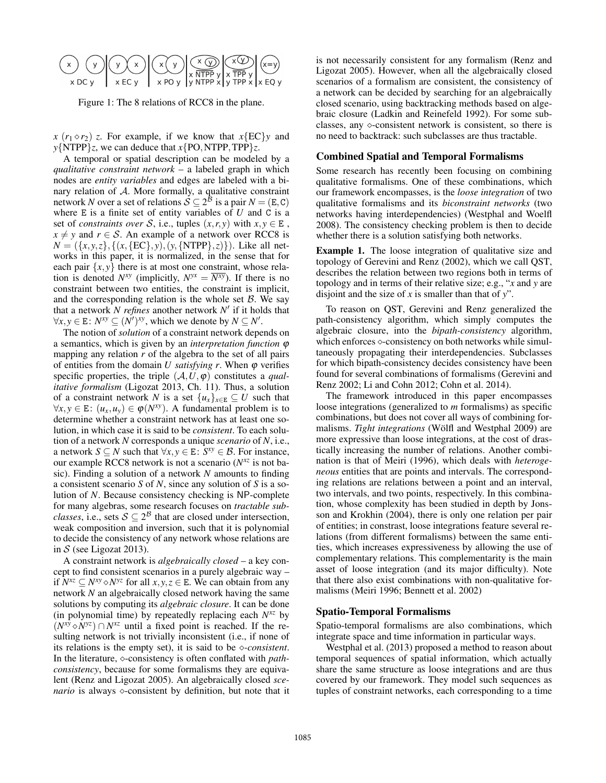

Figure 1: The 8 relations of RCC8 in the plane.

 $x (r_1 \diamond r_2)$  *z*. For example, if we know that  $x \{EC\}y$  and *y*{NTPP}*z*, we can deduce that *x*{PO,NTPP,TPP}*z*.

A temporal or spatial description can be modeled by a *qualitative constraint network* – a labeled graph in which nodes are *entity variables* and edges are labeled with a binary relation of  $A$ . More formally, a qualitative constraint network *N* over a set of relations  $S \subseteq 2^{\hat{B}}$  is a pair  $N = (E, C)$ where  $E$  is a finite set of entity variables of  $U$  and  $C$  is a set of *constraints over* S, i.e., tuples  $(x, r, y)$  with  $x, y \in E$ ,  $x \neq y$  and  $r \in S$ . An example of a network over RCC8 is  $N = (\{x, y, z\}, \{(x, \{EC\}, y), (y, \{NTPP\}, z)\})$ . Like all networks in this paper, it is normalized, in the sense that for each pair  $\{x, y\}$  there is at most one constraint, whose relation is denoted  $N^{xy}$  (implicitly,  $N^{yx} = \overline{N^{xy}}$ ). If there is no constraint between two entities, the constraint is implicit, and the corresponding relation is the whole set  $\beta$ . We say that a network  $N$  refines another network  $N'$  if it holds that  $\forall x, y \in E$ :  $N^{xy} ⊆ (N')^{xy}$ , which we denote by  $N ⊆ N'$ .

The notion of *solution* of a constraint network depends on a semantics, which is given by an *interpretation function* ϕ mapping any relation *r* of the algebra to the set of all pairs of entities from the domain *U satisfying r*. When  $\varphi$  verifies specific properties, the triple  $(A, U, \varphi)$  constitutes a *qualitative formalism* (Ligozat 2013, Ch. 11). Thus, a solution of a constraint network *N* is a set  $\{u_x\}_{x \in E} \subseteq U$  such that  $\forall x, y \in E$ :  $(u_x, u_y) \in \varphi(N^{xy})$ . A fundamental problem is to determine whether a constraint network has at least one solution, in which case it is said to be *consistent*. To each solution of a network *N* corresponds a unique *scenario* of *N*, i.e., a network *S*  $\subseteq$  *N* such that  $\forall x, y \in E$ : *S<sup>xy</sup>*  $\in$  *B*. For instance, our example RCC8 network is not a scenario (*Nxz* is not basic). Finding a solution of a network *N* amounts to finding a consistent scenario *S* of *N*, since any solution of *S* is a solution of *N*. Because consistency checking is NP-complete for many algebras, some research focuses on *tractable subclasses*, i.e., sets  $S \subseteq 2^B$  that are closed under intersection, weak composition and inversion, such that it is polynomial to decide the consistency of any network whose relations are in  $S$  (see Ligozat 2013).

A constraint network is *algebraically closed* – a key concept to find consistent scenarios in a purely algebraic way – if  $N^{xz}$  ⊆  $N^{xy}$  *N*<sup>yz</sup> for all *x*, *y*, *z* ∈ E. We can obtain from any network *N* an algebraically closed network having the same solutions by computing its *algebraic closure*. It can be done (in polynomial time) by repeatedly replacing each *Nxz* by  $(N^{xy} \diamond N^{yz}) \cap N^{xz}$  until a fixed point is reached. If the resulting network is not trivially inconsistent (i.e., if none of its relations is the empty set), it is said to be *-consistent*. In the literature,  $\diamond$ -consistency is often conflated with *pathconsistency*, because for some formalisms they are equivalent (Renz and Ligozat 2005). An algebraically closed *scenario* is always  $\diamond$ -consistent by definition, but note that it is not necessarily consistent for any formalism (Renz and Ligozat 2005). However, when all the algebraically closed scenarios of a formalism are consistent, the consistency of a network can be decided by searching for an algebraically closed scenario, using backtracking methods based on algebraic closure (Ladkin and Reinefeld 1992). For some subclasses, any  $\Diamond$ -consistent network is consistent, so there is no need to backtrack: such subclasses are thus tractable.

#### Combined Spatial and Temporal Formalisms

Some research has recently been focusing on combining qualitative formalisms. One of these combinations, which our framework encompasses, is the *loose integration* of two qualitative formalisms and its *biconstraint networks* (two networks having interdependencies) (Westphal and Woelfl 2008). The consistency checking problem is then to decide whether there is a solution satisfying both networks.

Example 1. The loose integration of qualitative size and topology of Gerevini and Renz (2002), which we call QST, describes the relation between two regions both in terms of topology and in terms of their relative size; e.g., "*x* and *y* are disjoint and the size of *x* is smaller than that of *y*".

To reason on QST, Gerevini and Renz generalized the path-consistency algorithm, which simply computes the algebraic closure, into the *bipath-consistency* algorithm, which enforces  $\Diamond$ -consistency on both networks while simultaneously propagating their interdependencies. Subclasses for which bipath-consistency decides consistency have been found for several combinations of formalisms (Gerevini and Renz 2002; Li and Cohn 2012; Cohn et al. 2014).

The framework introduced in this paper encompasses loose integrations (generalized to *m* formalisms) as specific combinations, but does not cover all ways of combining formalisms. *Tight integrations* (Wölfl and Westphal 2009) are more expressive than loose integrations, at the cost of drastically increasing the number of relations. Another combination is that of Meiri (1996), which deals with *heterogeneous* entities that are points and intervals. The corresponding relations are relations between a point and an interval, two intervals, and two points, respectively. In this combination, whose complexity has been studied in depth by Jonsson and Krokhin (2004), there is only one relation per pair of entities; in constrast, loose integrations feature several relations (from different formalisms) between the same entities, which increases expressiveness by allowing the use of complementary relations. This complementarity is the main asset of loose integration (and its major difficulty). Note that there also exist combinations with non-qualitative formalisms (Meiri 1996; Bennett et al. 2002)

#### Spatio-Temporal Formalisms

Spatio-temporal formalisms are also combinations, which integrate space and time information in particular ways.

Westphal et al. (2013) proposed a method to reason about temporal sequences of spatial information, which actually share the same structure as loose integrations and are thus covered by our framework. They model such sequences as tuples of constraint networks, each corresponding to a time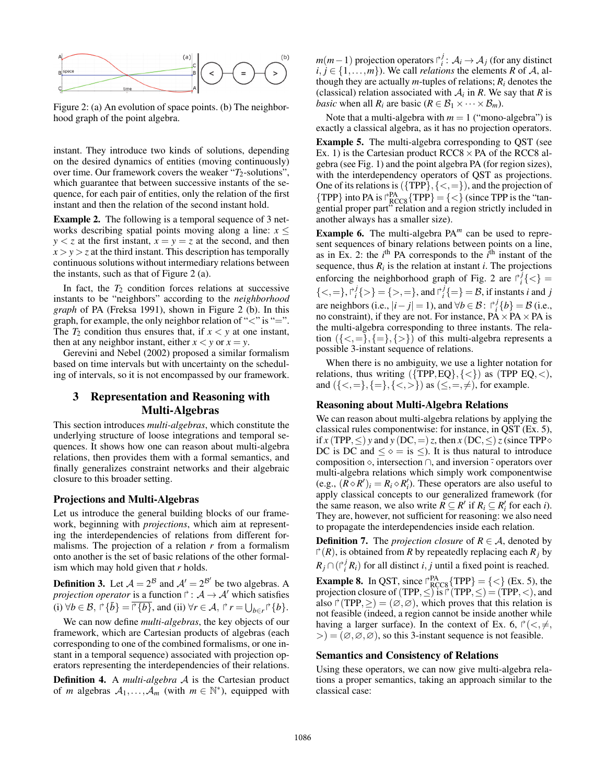

Figure 2: (a) An evolution of space points. (b) The neighborhood graph of the point algebra.

instant. They introduce two kinds of solutions, depending on the desired dynamics of entities (moving continuously) over time. Our framework covers the weaker "*T*<sub>2</sub>-solutions", which guarantee that between successive instants of the sequence, for each pair of entities, only the relation of the first instant and then the relation of the second instant hold.

Example 2. The following is a temporal sequence of 3 networks describing spatial points moving along a line:  $x \leq$  $y < z$  at the first instant,  $x = y = z$  at the second, and then  $x > y > z$  at the third instant. This description has temporally continuous solutions without intermediary relations between the instants, such as that of Figure 2 (a).

In fact, the  $T_2$  condition forces relations at successive instants to be "neighbors" according to the *neighborhood graph* of PA (Freksa 1991), shown in Figure 2 (b). In this graph, for example, the only neighbor relation of " $\lt$ " is "=". The  $T_2$  condition thus ensures that, if  $x < y$  at one instant, then at any neighbor instant, either  $x < y$  or  $x = y$ .

Gerevini and Nebel (2002) proposed a similar formalism based on time intervals but with uncertainty on the scheduling of intervals, so it is not encompassed by our framework.

## 3 Representation and Reasoning with Multi-Algebras

This section introduces *multi-algebras*, which constitute the underlying structure of loose integrations and temporal sequences. It shows how one can reason about multi-algebra relations, then provides them with a formal semantics, and finally generalizes constraint networks and their algebraic closure to this broader setting.

#### Projections and Multi-Algebras

Let us introduce the general building blocks of our framework, beginning with *projections*, which aim at representing the interdependencies of relations from different formalisms. The projection of a relation *r* from a formalism onto another is the set of basic relations of the other formalism which may hold given that *r* holds.

**Definition 3.** Let  $A = 2^B$  and  $A' = 2^{B'}$  be two algebras. A *projection operator* is a function  $\upharpoonright : A \to A'$  which satisfies (i)  $\forall b \in \mathcal{B}, \exists \{ \bar{b} \} = \overline{\exists \{ b \}}, \text{ and (ii)} \ \forall r \in \mathcal{A}, \exists \ r = \bigcup_{b \in r} \exists \{ b \}.$ 

We can now define *multi-algebras*, the key objects of our framework, which are Cartesian products of algebras (each corresponding to one of the combined formalisms, or one instant in a temporal sequence) associated with projection operators representing the interdependencies of their relations.

Definition 4. A *multi-algebra* A is the Cartesian product of *m* algebras  $A_1, \ldots, A_m$  (with  $m \in \mathbb{N}^*$ ), equipped with

*m*(*m*−1) projection operators  $\uparrow_i^j$ :  $\mathcal{A}_i$  →  $\mathcal{A}_j$  (for any distinct  $i, j \in \{1, \ldots, m\}$ . We call *relations* the elements *R* of *A*, although they are actually  $m$ -tuples of relations;  $R_i$  denotes the (classical) relation associated with  $A_i$  in  $R$ . We say that  $R$  is *basic* when all  $R_i$  are basic ( $R \in \mathcal{B}_1 \times \cdots \times \mathcal{B}_m$ ).

Note that a multi-algebra with  $m = 1$  ("mono-algebra") is exactly a classical algebra, as it has no projection operators.

Example 5. The multi-algebra corresponding to QST (see Ex. 1) is the Cartesian product  $RCC8 \times PA$  of the RCC8 algebra (see Fig. 1) and the point algebra PA (for region sizes), with the interdependency operators of QST as projections. One of its relations is  $({\text{TPP}}, {\leq}, =)$ , and the projection of  ${TPP}$  into PA is  $\bigcap_{RCC8}^{PA} {TPP} = \{ \leq \}$  (since TPP is the "tangential proper part" relation and a region strictly included in another always has a smaller size).

Example 6. The multi-algebra PA*<sup>m</sup>* can be used to represent sequences of binary relations between points on a line, as in Ex. 2: the  $i^{\text{th}}$  PA corresponds to the  $\hat{i}^{\text{th}}$  instant of the sequence, thus  $R_i$  is the relation at instant  $i$ . The projections enforcing the neighborhood graph of Fig. 2 are  $\int_i^j {\{\langle} \ {\rangle}}$  ${<,=\}, \binom{r_i^j}{i}$  = {>,=}, and  $\binom{r_i^j}{i}$  = } = *B*, if instants *i* and *j* are neighbors (i.e.,  $|i-j|=1$ ), and  $\forall b \in \mathcal{B}$ :  $\int_{i}^{j} \{b\} = \mathcal{B}$  (i.e., no constraint), if they are not. For instance,  $\overrightarrow{PA} \times \overrightarrow{PA} \times \overrightarrow{PA}$  is the multi-algebra corresponding to three instants. The relation  $({\{\leq,\equiv\},\{\geq\}})$  of this multi-algebra represents a possible 3-instant sequence of relations.

When there is no ambiguity, we use a lighter notation for relations, thus writing  $({\text{TPP},EQ}, {\lt;})$  as  $({\text{TPP}\,\,EQ}, {\lt;})$ , and  $({\{\leq,=\}, \{\leq\}, \{\leq\geq\})}$  as  $(\leq,=,\neq)$ , for example.

### Reasoning about Multi-Algebra Relations

We can reason about multi-algebra relations by applying the classical rules componentwise: for instance, in QST (Ex. 5), if *x* (TPP,  $\leq$ ) *y* and *y* (DC,  $=$ ) *z*, then *x* (DC,  $\leq$ ) *z* (since TPP $\diamond$ DC is DC and  $\leq \circ$  = is  $\leq$ ). It is thus natural to introduce composition  $\Diamond$ , intersection  $\cap$ , and inversion  $\overline{\ }$  operators over multi-algebra relations which simply work componentwise (e.g.,  $(R \circ R')_i = R_i \circ R'_i$ ). These operators are also useful to apply classical concepts to our generalized framework (for the same reason, we also write  $R \subseteq R'$  if  $R_i \subseteq R'_i$  for each *i*). They are, however, not sufficient for reasoning: we also need to propagate the interdependencies inside each relation.

**Definition 7.** The *projection closure* of  $R \in \mathcal{A}$ , denoted by  $f'(R)$ , is obtained from *R* by repeatedly replacing each  $R_j$  by  $R_j \cap (r_i^j R_i)$  for all distinct *i*, *j* until a fixed point is reached.

**Example 8.** In QST, since  $\bigcap_{\text{RCC8}}^{\text{PA}} \{\text{TPP}\} = \{<\}$  (Ex. 5), the projection closure of (TPP,  $\leq$ ) is  $\mathsf{\Gamma}^{\cdot}(\text{TPP}, \leq) = (\text{TPP}, <)$ , and also  $\Gamma(\text{TPP}, \geq) = (\emptyset, \emptyset)$ , which proves that this relation is not feasible (indeed, a region cannot be inside another while having a larger surface). In the context of Ex. 6,  $\Gamma(\lt, \neq, \neq)$  $>=(\emptyset,\emptyset,\emptyset)$ , so this 3-instant sequence is not feasible.

#### Semantics and Consistency of Relations

Using these operators, we can now give multi-algebra relations a proper semantics, taking an approach similar to the classical case: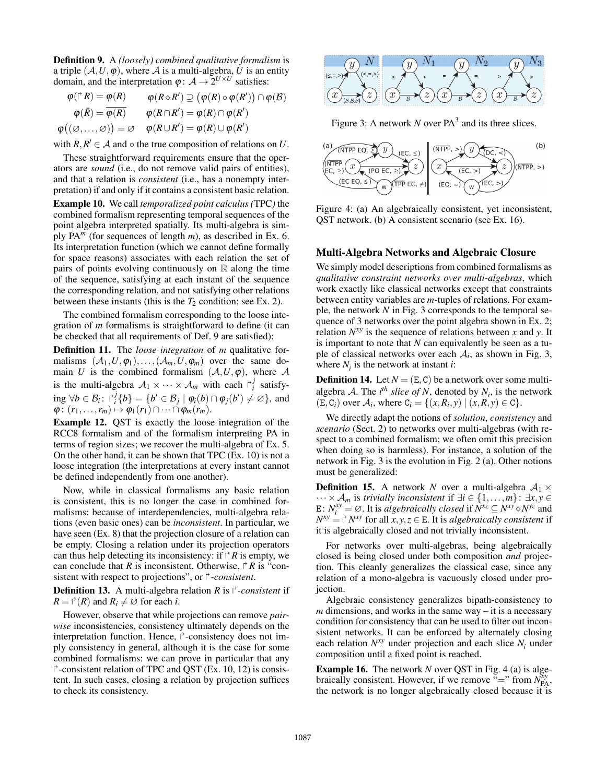Definition 9. A *(loosely) combined qualitative formalism* is a triple  $(A, U, \varphi)$ , where A is a multi-algebra, U is an entity domain, and the interpretation  $\varphi : A \to 2^{U \times U}$  satisfies:

$$
\varphi(\Gamma^* R) = \varphi(R) \qquad \varphi(R \diamond R') \supseteq (\varphi(R) \circ \varphi(R')) \cap \varphi(B)
$$

$$
\varphi(\bar{R}) = \overline{\varphi(R)} \qquad \varphi(R \cap R') = \varphi(R) \cap \varphi(R')
$$

$$
\varphi((\varnothing, \dots, \varnothing)) = \varnothing \qquad \varphi(R \cup R') = \varphi(R) \cup \varphi(R')
$$

with  $R, R' \in \mathcal{A}$  and  $\circ$  the true composition of relations on *U*.

These straightforward requirements ensure that the operators are *sound* (i.e., do not remove valid pairs of entities), and that a relation is *consistent* (i.e., has a nonempty interpretation) if and only if it contains a consistent basic relation. Example 10. We call *temporalized point calculus (*TPC*)* the

combined formalism representing temporal sequences of the point algebra interpreted spatially. Its multi-algebra is simply PA*<sup>m</sup>* (for sequences of length *m*), as described in Ex. 6. Its interpretation function (which we cannot define formally for space reasons) associates with each relation the set of pairs of points evolving continuously on  $\mathbb R$  along the time of the sequence, satisfying at each instant of the sequence the corresponding relation, and not satisfying other relations between these instants (this is the  $T_2$  condition; see Ex. 2).

The combined formalism corresponding to the loose integration of *m* formalisms is straightforward to define (it can be checked that all requirements of Def. 9 are satisfied):

Definition 11. The *loose integration* of *m* qualitative formalisms  $(A_1, U, \varphi_1), \ldots, (A_m, U, \varphi_m)$  over the same domain *U* is the combined formalism  $(A, U, \varphi)$ , where A is the multi-algebra  $A_1 \times \cdots \times A_m$  with each  $\int_i^j$  satisfying  $\forall b \in \mathcal{B}_i$ :  $\int_i^j \{b\} = \{b' \in \mathcal{B}_j \mid \varphi_i(b) \cap \varphi_j(b') \neq \varnothing\}$ , and  $\varphi: (r_1,\ldots,r_m)\mapsto \varphi_1(r_1)\cap\cdots\cap\varphi_m(r_m).$ 

Example 12. QST is exactly the loose integration of the RCC8 formalism and of the formalism interpreting PA in terms of region sizes; we recover the multi-algebra of Ex. 5. On the other hand, it can be shown that TPC (Ex. 10) is not a loose integration (the interpretations at every instant cannot be defined independently from one another).

Now, while in classical formalisms any basic relation is consistent, this is no longer the case in combined formalisms: because of interdependencies, multi-algebra relations (even basic ones) can be *inconsistent*. In particular, we have seen (Ex. 8) that the projection closure of a relation can be empty. Closing a relation under its projection operators can thus help detecting its inconsistency: if  $\Gamma$  *R* is empty, we can conclude that *R* is inconsistent. Otherwise,  $\vec{r}$  *R* is "consistent with respect to projections", or  $\Gamma$ -consistent.

**Definition 13.** A multi-algebra relation *R* is  $\Gamma$ -consistent if  $R = \upharpoonright (R)$  and  $R_i \neq \emptyset$  for each *i*.

However, observe that while projections can remove *pairwise* inconsistencies, consistency ultimately depends on the interpretation function. Hence,  $\uparrow$ -consistency does not imply consistency in general, although it is the case for some combined formalisms: we can prove in particular that any --consistent relation of TPC and QST (Ex. 10, 12) is consistent. In such cases, closing a relation by projection suffices to check its consistency.



Figure 3: A network  $N$  over  $PA<sup>3</sup>$  and its three slices.



Figure 4: (a) An algebraically consistent, yet inconsistent, QST network. (b) A consistent scenario (see Ex. 16).

#### Multi-Algebra Networks and Algebraic Closure

We simply model descriptions from combined formalisms as *qualitative constraint networks over multi-algebras*, which work exactly like classical networks except that constraints between entity variables are *m*-tuples of relations. For example, the network *N* in Fig. 3 corresponds to the temporal sequence of 3 networks over the point algebra shown in Ex. 2; relation  $N^{xy}$  is the sequence of relations between *x* and *y*. It is important to note that *N* can equivalently be seen as a tuple of classical networks over each  $A_i$ , as shown in Fig. 3, where  $N_i$  is the network at instant  $i$ :

**Definition 14.** Let  $N = (E, C)$  be a network over some multialgebra A. The  $i^{th}$  *slice of N*, denoted by  $N_i$ , is the network  $(E, C_i)$  over  $\mathcal{A}_i$ , where  $C_i = \{(x, R_i, y) | (x, R, y) \in C\}.$ 

We directly adapt the notions of *solution*, *consistency* and *scenario* (Sect. 2) to networks over multi-algebras (with respect to a combined formalism; we often omit this precision when doing so is harmless). For instance, a solution of the network in Fig. 3 is the evolution in Fig. 2 (a). Other notions must be generalized:

**Definition 15.** A network *N* over a multi-algebra  $A_1 \times$ ···×A*<sup>m</sup>* is *trivially inconsistent* if ∃*i* ∈ {1,...,*m*}: ∃*x*, *y* ∈ E:  $N_i^{xy} = \emptyset$ . It is *algebraically closed* if  $N^{xz} \subseteq N^{xy} \circ N^{yz}$  and  $N^{xy} = \cap N^{xy}$  for all  $x, y, z \in E$ . It is *algebraically consistent* if it is algebraically closed and not trivially inconsistent.

For networks over multi-algebras, being algebraically closed is being closed under both composition *and* projection. This cleanly generalizes the classical case, since any relation of a mono-algebra is vacuously closed under projection.

Algebraic consistency generalizes bipath-consistency to *m* dimensions, and works in the same way – it is a necessary condition for consistency that can be used to filter out inconsistent networks. It can be enforced by alternately closing each relation  $N^{xy}$  under projection and each slice  $N_i$  under composition until a fixed point is reached.

**Example 16.** The network *N* over QST in Fig. 4 (a) is algebraically consistent. However, if we remove  $=$ " from  $N_{PA}^{xy}$ , the network is no longer algebraically closed because it is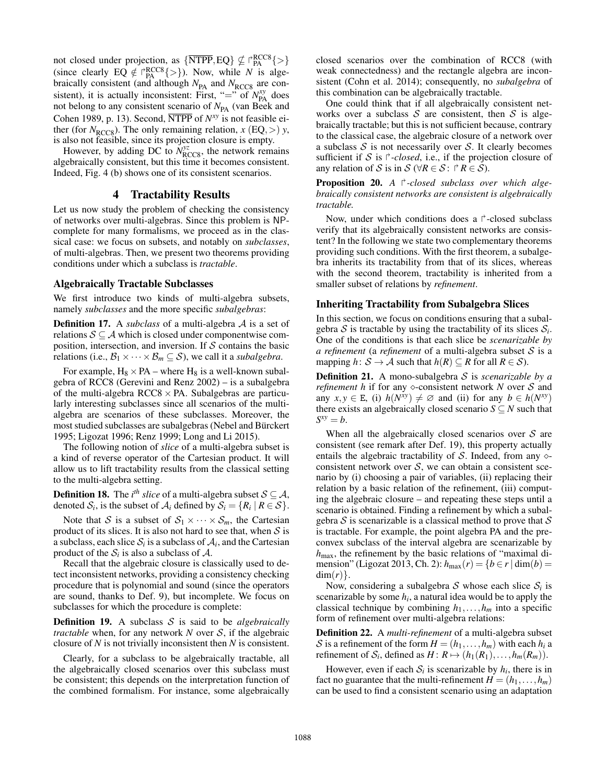not closed under projection, as  $\{\overline{\text{NTPP}}, \text{EQ}\} \nsubseteq \text{PRG}^{\text{RCC8}}\{>\}$ (since clearly EQ  $\notin \bigcap_{P_A} RCC8$ {>}). Now, while *N* is algebraically consistent (and although  $N_{PA}$  and  $N_{RCC8}$  are consistent), it is actually inconsistent: First, "=" of  $N_{\text{PA}}^{xy}$  does not belong to any consistent scenario of  $N_{PA}$  (van Beek and Cohen 1989, p. 13). Second, NTPP of *Nxy* is not feasible either (for  $N_{\text{RCC8}}$ ). The only remaining relation,  $x$  (EQ, >)  $y$ , is also not feasible, since its projection closure is empty.

However, by adding DC to  $N_{\text{RCC8}}^{yz}$ , the network remains algebraically consistent, but this time it becomes consistent. Indeed, Fig. 4 (b) shows one of its consistent scenarios.

## 4 Tractability Results

Let us now study the problem of checking the consistency of networks over multi-algebras. Since this problem is NPcomplete for many formalisms, we proceed as in the classical case: we focus on subsets, and notably on *subclasses*, of multi-algebras. Then, we present two theorems providing conditions under which a subclass is *tractable*.

#### Algebraically Tractable Subclasses

We first introduce two kinds of multi-algebra subsets, namely *subclasses* and the more specific *subalgebras*:

Definition 17. A *subclass* of a multi-algebra A is a set of relations  $S \subseteq A$  which is closed under componentwise composition, intersection, and inversion. If  $S$  contains the basic relations (i.e.,  $\mathcal{B}_1 \times \cdots \times \mathcal{B}_m \subseteq \mathcal{S}$ ), we call it a *subalgebra*.

For example,  $H_8 \times PA$  – where  $H_8$  is a well-known subalgebra of RCC8 (Gerevini and Renz 2002) – is a subalgebra of the multi-algebra  $RCC8 \times PA$ . Subalgebras are particularly interesting subclasses since all scenarios of the multialgebra are scenarios of these subclasses. Moreover, the most studied subclasses are subalgebras (Nebel and Bürckert 1995; Ligozat 1996; Renz 1999; Long and Li 2015).

The following notion of *slice* of a multi-algebra subset is a kind of reverse operator of the Cartesian product. It will allow us to lift tractability results from the classical setting to the multi-algebra setting.

**Definition 18.** The *i<sup>th</sup> slice* of a multi-algebra subset  $\mathcal{S} \subseteq \mathcal{A}$ , denoted  $S_i$ , is the subset of  $A_i$  defined by  $S_i = \{R_i \mid R \in S\}.$ 

Note that S is a subset of  $S_1 \times \cdots \times S_m$ , the Cartesian product of its slices. It is also not hard to see that, when  $S$  is a subclass, each slice  $S_i$  is a subclass of  $A_i$ , and the Cartesian product of the  $S_i$  is also a subclass of  $A$ .

Recall that the algebraic closure is classically used to detect inconsistent networks, providing a consistency checking procedure that is polynomial and sound (since the operators are sound, thanks to Def. 9), but incomplete. We focus on subclasses for which the procedure is complete:

Definition 19. A subclass S is said to be *algebraically tractable* when, for any network *N* over S, if the algebraic closure of *N* is not trivially inconsistent then *N* is consistent.

Clearly, for a subclass to be algebraically tractable, all the algebraically closed scenarios over this subclass must be consistent; this depends on the interpretation function of the combined formalism. For instance, some algebraically

closed scenarios over the combination of RCC8 (with weak connectedness) and the rectangle algebra are inconsistent (Cohn et al. 2014); consequently, no *subalgebra* of this combination can be algebraically tractable.

One could think that if all algebraically consistent networks over a subclass  $S$  are consistent, then  $S$  is algebraically tractable; but this is not sufficient because, contrary to the classical case, the algebraic closure of a network over a subclass  $S$  is not necessarily over  $S$ . It clearly becomes sufficient if S is  $\uparrow$ -closed, i.e., if the projection closure of any relation of S is in  $S$  ( $\forall R \in S$ :  $\forall R \in S$ ).

**Proposition 20.** A  $\uparrow$ -closed subclass over which alge*braically consistent networks are consistent is algebraically tractable.*

Now, under which conditions does a  $\Gamma$ -closed subclass verify that its algebraically consistent networks are consistent? In the following we state two complementary theorems providing such conditions. With the first theorem, a subalgebra inherits its tractability from that of its slices, whereas with the second theorem, tractability is inherited from a smaller subset of relations by *refinement*.

#### Inheriting Tractability from Subalgebra Slices

In this section, we focus on conditions ensuring that a subalgebra  $S$  is tractable by using the tractability of its slices  $S_i$ . One of the conditions is that each slice be *scenarizable by a refinement* (a *refinement* of a multi-algebra subset S is a mapping  $h: \mathcal{S} \to \mathcal{A}$  such that  $h(R) \subseteq R$  for all  $R \in \mathcal{S}$ ).

Definition 21. A mono-subalgebra S is *scenarizable by a refinement h* if for any  $\diamond$ -consistent network *N* over *S* and any  $x, y \in E$ , (i)  $h(N^{xy}) \neq \emptyset$  and (ii) for any  $b \in h(N^{xy})$ there exists an algebraically closed scenario  $S \subseteq N$  such that  $S^{xy} = b$ .

When all the algebraically closed scenarios over  $S$  are consistent (see remark after Def. 19), this property actually entails the algebraic tractability of S. Indeed, from any  $\Diamond$ consistent network over  $S$ , we can obtain a consistent scenario by (i) choosing a pair of variables, (ii) replacing their relation by a basic relation of the refinement, (iii) computing the algebraic closure – and repeating these steps until a scenario is obtained. Finding a refinement by which a subalgebra  $S$  is scenarizable is a classical method to prove that  $S$ is tractable. For example, the point algebra PA and the preconvex subclass of the interval algebra are scenarizable by *h*max, the refinement by the basic relations of "maximal dimension" (Ligozat 2013, Ch. 2):  $h_{\text{max}}(r) = \{b \in r \mid \text{dim}(b) =$  $\dim(r)$ .

Now, considering a subalgebra  $S$  whose each slice  $S_i$  is scenarizable by some  $h_i$ , a natural idea would be to apply the classical technique by combining  $h_1, \ldots, h_m$  into a specific form of refinement over multi-algebra relations:

Definition 22. A *multi-refinement* of a multi-algebra subset S is a refinement of the form  $H = (h_1, \ldots, h_m)$  with each  $h_i$  a refinement of  $S_i$ , defined as  $H: R \mapsto (h_1(R_1),...,h_m(R_m))$ .

However, even if each  $S_i$  is scenarizable by  $h_i$ , there is in fact no guarantee that the multi-refinement  $H = (h_1, \ldots, h_m)$ can be used to find a consistent scenario using an adaptation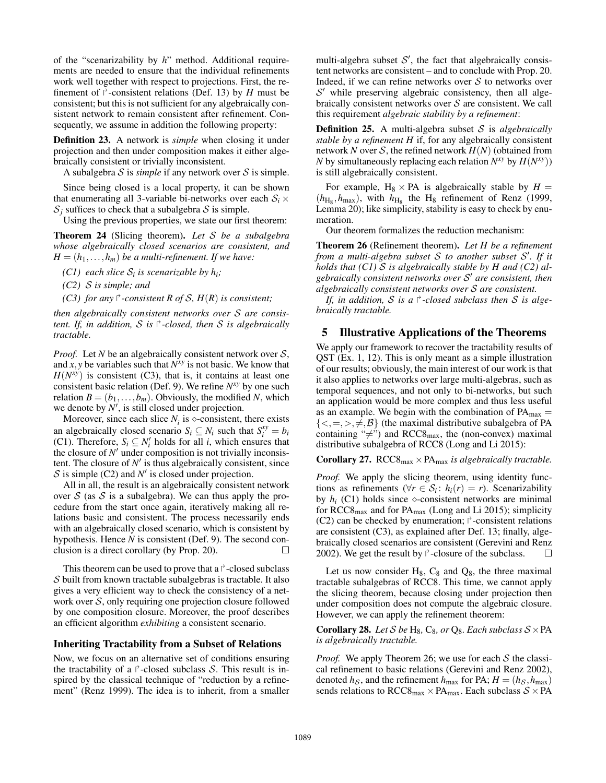of the "scenarizability by *h*" method. Additional requirements are needed to ensure that the individual refinements work well together with respect to projections. First, the refinement of  $\Gamma$ -consistent relations (Def. 13) by *H* must be consistent; but this is not sufficient for any algebraically consistent network to remain consistent after refinement. Consequently, we assume in addition the following property:

Definition 23. A network is *simple* when closing it under projection and then under composition makes it either algebraically consistent or trivially inconsistent.

A subalgebra  $S$  is *simple* if any network over  $S$  is simple.

Since being closed is a local property, it can be shown that enumerating all 3-variable bi-networks over each  $S_i$   $\times$  $S_i$  suffices to check that a subalgebra S is simple.

Using the previous properties, we state our first theorem:

Theorem 24 (Slicing theorem). *Let* S *be a subalgebra whose algebraically closed scenarios are consistent, and*  $H = (h_1, \ldots, h_m)$  *be a multi-refinement. If we have:* 

*(C1)* each slice  $S_i$  *is scenarizable by h<sub>i</sub>*;

*(C2)* S *is simple; and*

*(C3) for any*  $\Gamma$ -consistent R of S,  $H(R)$  is consistent;

*then algebraically consistent networks over* S *are consistent. If, in addition,* S *is* -*-closed, then* S *is algebraically tractable.*

*Proof.* Let *N* be an algebraically consistent network over  $S$ , and  $\dot{x}$ ,  $\dot{y}$  be variables such that  $N^{\dot{x}\dot{y}}$  is not basic. We know that  $H(N^{xy})$  is consistent (C3), that is, it contains at least one consistent basic relation (Def. 9). We refine *Nxy* by one such relation  $B = (b_1, \ldots, b_m)$ . Obviously, the modified *N*, which we denote by  $N'$ , is still closed under projection.

Moreover, since each slice  $N_i$  is  $\diamond$ -consistent, there exists an algebraically closed scenario  $S_i \subseteq N_i$  such that  $S_i^{xy} = b_i$ (C1). Therefore,  $S_i \subseteq N'_i$  holds for all *i*, which ensures that the closure of  $N'$  under composition is not trivially inconsistent. The closure of  $N'$  is thus algebraically consistent, since  $S$  is simple (C2) and  $N'$  is closed under projection.

All in all, the result is an algebraically consistent network over S (as S is a subalgebra). We can thus apply the procedure from the start once again, iteratively making all relations basic and consistent. The process necessarily ends with an algebraically closed scenario, which is consistent by hypothesis. Hence *N* is consistent (Def. 9). The second conclusion is a direct corollary (by Prop. 20).  $\Box$ 

This theorem can be used to prove that a  $\uparrow$ -closed subclass S built from known tractable subalgebras is tractable. It also gives a very efficient way to check the consistency of a network over  $S$ , only requiring one projection closure followed by one composition closure. Moreover, the proof describes an efficient algorithm *exhibiting* a consistent scenario.

#### Inheriting Tractability from a Subset of Relations

Now, we focus on an alternative set of conditions ensuring the tractability of a  $\uparrow$ -closed subclass S. This result is inspired by the classical technique of "reduction by a refinement" (Renz 1999). The idea is to inherit, from a smaller

multi-algebra subset  $S'$ , the fact that algebraically consistent networks are consistent – and to conclude with Prop. 20. Indeed, if we can refine networks over  $S$  to networks over  $S'$  while preserving algebraic consistency, then all algebraically consistent networks over  $S$  are consistent. We call this requirement *algebraic stability by a refinement*:

Definition 25. A multi-algebra subset S is *algebraically stable by a refinement H* if, for any algebraically consistent network *N* over *S*, the refined network  $H(N)$  (obtained from *N* by simultaneously replacing each relation  $N^{xy}$  by  $H(N^{xy})$ ) is still algebraically consistent.

For example,  $H_8 \times PA$  is algebraically stable by  $H =$  $(h_{\text{H}_8}, h_{\text{max}})$ , with  $h_{\text{H}_8}$  the H<sub>8</sub> refinement of Renz (1999, Lemma 20); like simplicity, stability is easy to check by enumeration.

Our theorem formalizes the reduction mechanism:

Theorem 26 (Refinement theorem). *Let H be a refinement from a multi-algebra subset* S *to another subset* S *. If it holds that (C1)* S *is algebraically stable by H and (C2) algebraically consistent networks over* S *are consistent, then algebraically consistent networks over* S *are consistent.*

If, in addition, S is a  $\Gamma$ -closed subclass then S is alge*braically tractable.*

#### 5 Illustrative Applications of the Theorems

We apply our framework to recover the tractability results of QST (Ex. 1, 12). This is only meant as a simple illustration of our results; obviously, the main interest of our work is that it also applies to networks over large multi-algebras, such as temporal sequences, and not only to bi-networks, but such an application would be more complex and thus less useful as an example. We begin with the combination of  $PA<sub>max</sub>$  =  ${<, =, >, \neq, \mathcal{B}}$  (the maximal distributive subalgebra of PA containing " $\neq$ ") and RCC8<sub>max</sub>, the (non-convex) maximal distributive subalgebra of RCC8 (Long and Li 2015):

#### **Corollary 27.** RCC8 $_{max}$   $\times$  PA $_{max}$  *is algebraically tractable.*

*Proof.* We apply the slicing theorem, using identity functions as refinements ( $\forall r \in S_i$ :  $h_i(r) = r$ ). Scenarizability by  $h_i$  (C1) holds since  $\diamond$ -consistent networks are minimal for RCC8max and for PAmax (Long and Li 2015); simplicity  $(C2)$  can be checked by enumeration;  $\uparrow$ -consistent relations are consistent (C3), as explained after Def. 13; finally, algebraically closed scenarios are consistent (Gerevini and Renz 2002). We get the result by  $\uparrow$ -closure of the subclass.  $\Box$ 

Let us now consider  $H_8$ ,  $C_8$  and  $Q_8$ , the three maximal tractable subalgebras of RCC8. This time, we cannot apply the slicing theorem, because closing under projection then under composition does not compute the algebraic closure. However, we can apply the refinement theorem:

Corollary 28. *Let* S *be* H<sub>8</sub>, C<sub>8</sub>, *or* Q<sub>8</sub>. *Each subclass*  $S \times PA$ *is algebraically tractable.*

*Proof.* We apply Theorem 26; we use for each  $S$  the classical refinement to basic relations (Gerevini and Renz 2002), denoted  $h_S$ , and the refinement  $h_{\text{max}}$  for PA;  $H = (h_S, h_{\text{max}})$ sends relations to RCC8<sub>max</sub>  $\times$  PA<sub>max</sub>. Each subclass  $S \times$  PA